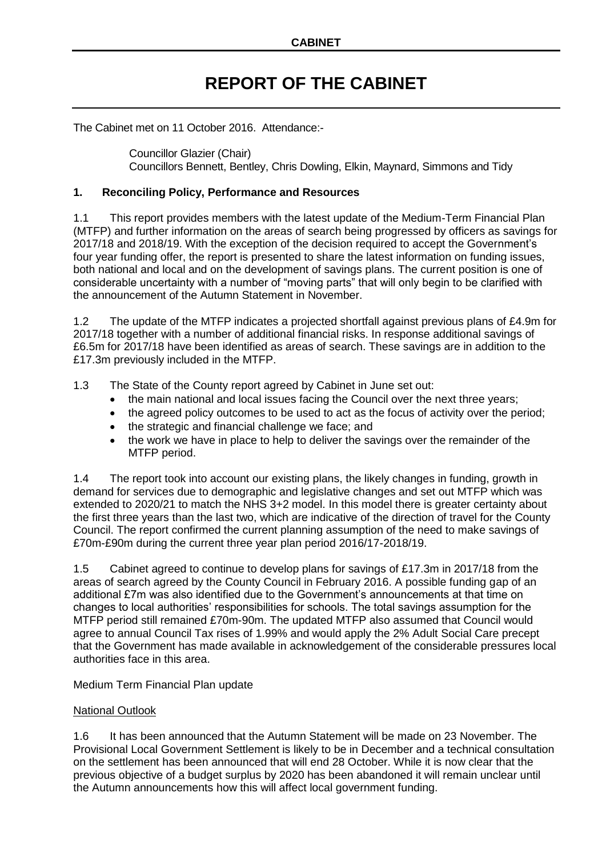# **REPORT OF THE CABINET**

The Cabinet met on 11 October 2016. Attendance:-

Councillor Glazier (Chair) Councillors Bennett, Bentley, Chris Dowling, Elkin, Maynard, Simmons and Tidy

# **1. Reconciling Policy, Performance and Resources**

1.1 This report provides members with the latest update of the Medium-Term Financial Plan (MTFP) and further information on the areas of search being progressed by officers as savings for 2017/18 and 2018/19. With the exception of the decision required to accept the Government's four year funding offer, the report is presented to share the latest information on funding issues, both national and local and on the development of savings plans. The current position is one of considerable uncertainty with a number of "moving parts" that will only begin to be clarified with the announcement of the Autumn Statement in November.

1.2 The update of the MTFP indicates a projected shortfall against previous plans of £4.9m for 2017/18 together with a number of additional financial risks. In response additional savings of £6.5m for 2017/18 have been identified as areas of search. These savings are in addition to the £17.3m previously included in the MTFP.

1.3 The State of the County report agreed by Cabinet in June set out:

- the main national and local issues facing the Council over the next three years;
- the agreed policy outcomes to be used to act as the focus of activity over the period;
- the strategic and financial challenge we face; and
- the work we have in place to help to deliver the savings over the remainder of the MTFP period.

1.4 The report took into account our existing plans, the likely changes in funding, growth in demand for services due to demographic and legislative changes and set out MTFP which was extended to 2020/21 to match the NHS 3+2 model. In this model there is greater certainty about the first three years than the last two, which are indicative of the direction of travel for the County Council. The report confirmed the current planning assumption of the need to make savings of £70m-£90m during the current three year plan period 2016/17-2018/19.

1.5 Cabinet agreed to continue to develop plans for savings of £17.3m in 2017/18 from the areas of search agreed by the County Council in February 2016. A possible funding gap of an additional £7m was also identified due to the Government's announcements at that time on changes to local authorities' responsibilities for schools. The total savings assumption for the MTFP period still remained £70m-90m. The updated MTFP also assumed that Council would agree to annual Council Tax rises of 1.99% and would apply the 2% Adult Social Care precept that the Government has made available in acknowledgement of the considerable pressures local authorities face in this area.

Medium Term Financial Plan update

# National Outlook

1.6 It has been announced that the Autumn Statement will be made on 23 November. The Provisional Local Government Settlement is likely to be in December and a technical consultation on the settlement has been announced that will end 28 October. While it is now clear that the previous objective of a budget surplus by 2020 has been abandoned it will remain unclear until the Autumn announcements how this will affect local government funding.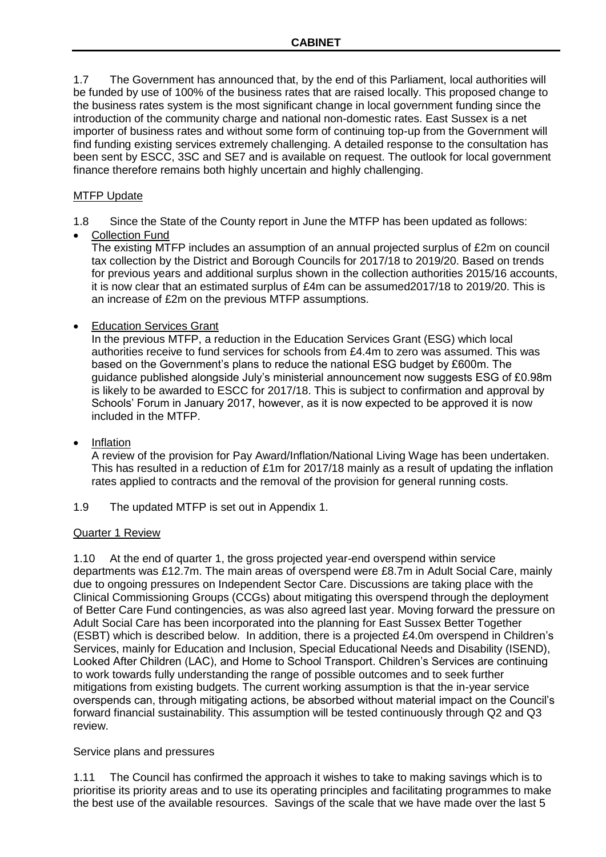1.7 The Government has announced that, by the end of this Parliament, local authorities will be funded by use of 100% of the business rates that are raised locally. This proposed change to the business rates system is the most significant change in local government funding since the introduction of the community charge and national non-domestic rates. East Sussex is a net importer of business rates and without some form of continuing top-up from the Government will find funding existing services extremely challenging. A detailed response to the consultation has been sent by ESCC, 3SC and SE7 and is available on request. The outlook for local government finance therefore remains both highly uncertain and highly challenging.

# MTFP Update

- 1.8 Since the State of the County report in June the MTFP has been updated as follows:
- Collection Fund

The existing MTFP includes an assumption of an annual projected surplus of £2m on council tax collection by the District and Borough Councils for 2017/18 to 2019/20. Based on trends for previous years and additional surplus shown in the collection authorities 2015/16 accounts, it is now clear that an estimated surplus of £4m can be assumed2017/18 to 2019/20. This is an increase of £2m on the previous MTFP assumptions.

• Education Services Grant

In the previous MTFP, a reduction in the Education Services Grant (ESG) which local authorities receive to fund services for schools from £4.4m to zero was assumed. This was based on the Government's plans to reduce the national ESG budget by £600m. The guidance published alongside July's ministerial announcement now suggests ESG of £0.98m is likely to be awarded to ESCC for 2017/18. This is subject to confirmation and approval by Schools' Forum in January 2017, however, as it is now expected to be approved it is now included in the MTFP.

# Inflation

A review of the provision for Pay Award/Inflation/National Living Wage has been undertaken. This has resulted in a reduction of £1m for 2017/18 mainly as a result of updating the inflation rates applied to contracts and the removal of the provision for general running costs.

1.9 The updated MTFP is set out in Appendix 1.

# Quarter 1 Review

1.10 At the end of quarter 1, the gross projected year-end overspend within service departments was £12.7m. The main areas of overspend were £8.7m in Adult Social Care, mainly due to ongoing pressures on Independent Sector Care. Discussions are taking place with the Clinical Commissioning Groups (CCGs) about mitigating this overspend through the deployment of Better Care Fund contingencies, as was also agreed last year. Moving forward the pressure on Adult Social Care has been incorporated into the planning for East Sussex Better Together (ESBT) which is described below. In addition, there is a projected £4.0m overspend in Children's Services, mainly for Education and Inclusion, Special Educational Needs and Disability (ISEND), Looked After Children (LAC), and Home to School Transport. Children's Services are continuing to work towards fully understanding the range of possible outcomes and to seek further mitigations from existing budgets. The current working assumption is that the in-year service overspends can, through mitigating actions, be absorbed without material impact on the Council's forward financial sustainability. This assumption will be tested continuously through Q2 and Q3 review.

# Service plans and pressures

1.11 The Council has confirmed the approach it wishes to take to making savings which is to prioritise its priority areas and to use its operating principles and facilitating programmes to make the best use of the available resources. Savings of the scale that we have made over the last 5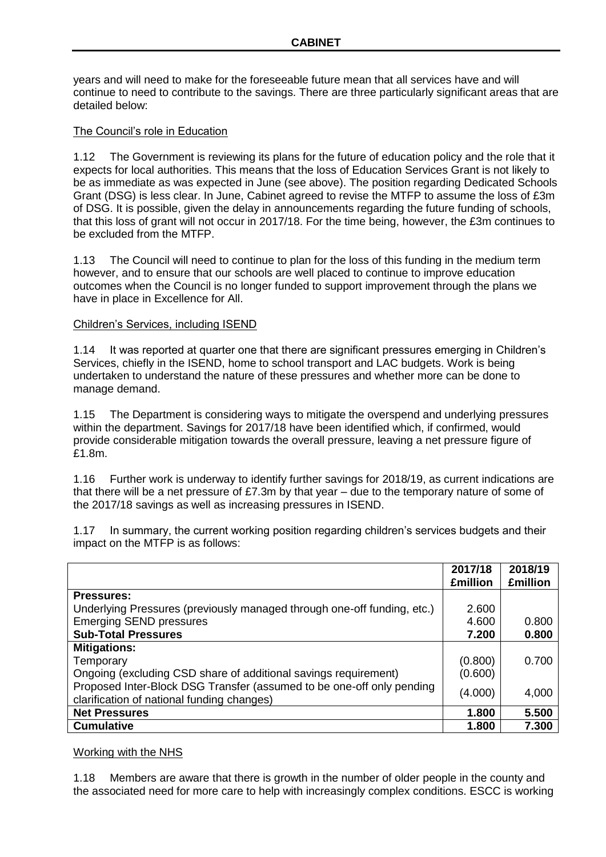years and will need to make for the foreseeable future mean that all services have and will continue to need to contribute to the savings. There are three particularly significant areas that are detailed below:

## The Council's role in Education

1.12 The Government is reviewing its plans for the future of education policy and the role that it expects for local authorities. This means that the loss of Education Services Grant is not likely to be as immediate as was expected in June (see above). The position regarding Dedicated Schools Grant (DSG) is less clear. In June, Cabinet agreed to revise the MTFP to assume the loss of £3m of DSG. It is possible, given the delay in announcements regarding the future funding of schools, that this loss of grant will not occur in 2017/18. For the time being, however, the £3m continues to be excluded from the MTFP.

1.13 The Council will need to continue to plan for the loss of this funding in the medium term however, and to ensure that our schools are well placed to continue to improve education outcomes when the Council is no longer funded to support improvement through the plans we have in place in Excellence for All.

## Children's Services, including ISEND

1.14 It was reported at quarter one that there are significant pressures emerging in Children's Services, chiefly in the ISEND, home to school transport and LAC budgets. Work is being undertaken to understand the nature of these pressures and whether more can be done to manage demand.

1.15 The Department is considering ways to mitigate the overspend and underlying pressures within the department. Savings for 2017/18 have been identified which, if confirmed, would provide considerable mitigation towards the overall pressure, leaving a net pressure figure of £1.8m.

1.16 Further work is underway to identify further savings for 2018/19, as current indications are that there will be a net pressure of £7.3m by that year – due to the temporary nature of some of the 2017/18 savings as well as increasing pressures in ISEND.

1.17 In summary, the current working position regarding children's services budgets and their impact on the MTFP is as follows:

|                                                                                                                     | 2017/18<br><b>£million</b> | 2018/19<br><b>£million</b> |
|---------------------------------------------------------------------------------------------------------------------|----------------------------|----------------------------|
| <b>Pressures:</b>                                                                                                   |                            |                            |
| Underlying Pressures (previously managed through one-off funding, etc.)                                             | 2.600                      |                            |
| <b>Emerging SEND pressures</b>                                                                                      | 4.600                      | 0.800                      |
| <b>Sub-Total Pressures</b>                                                                                          | 7.200                      | 0.800                      |
| <b>Mitigations:</b>                                                                                                 |                            |                            |
| Temporary                                                                                                           | (0.800)                    | 0.700                      |
| Ongoing (excluding CSD share of additional savings requirement)                                                     | (0.600)                    |                            |
| Proposed Inter-Block DSG Transfer (assumed to be one-off only pending<br>clarification of national funding changes) | (4.000)                    | 4,000                      |
| <b>Net Pressures</b>                                                                                                | 1.800                      | 5.500                      |
| <b>Cumulative</b>                                                                                                   | 1.800                      | 7.300                      |

## Working with the NHS

1.18 Members are aware that there is growth in the number of older people in the county and the associated need for more care to help with increasingly complex conditions. ESCC is working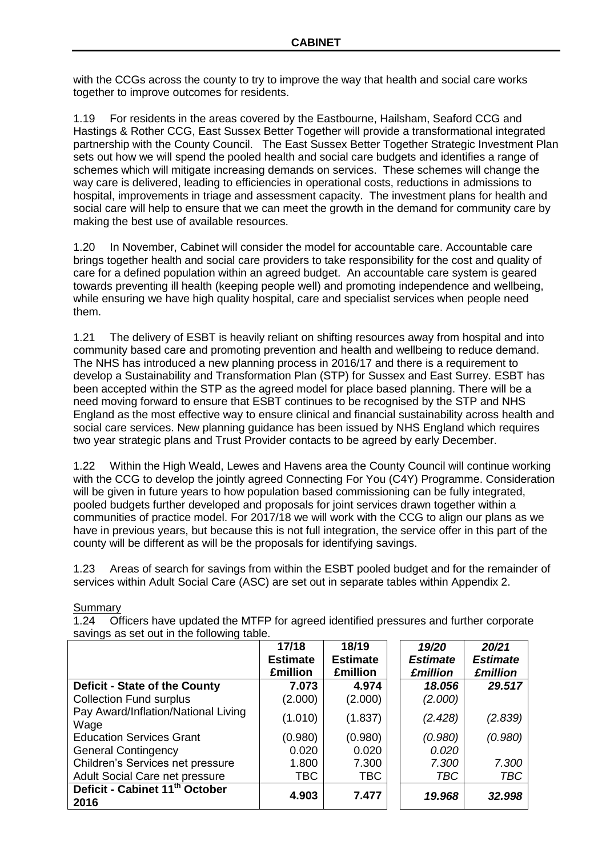with the CCGs across the county to try to improve the way that health and social care works together to improve outcomes for residents.

1.19 For residents in the areas covered by the Eastbourne, Hailsham, Seaford CCG and Hastings & Rother CCG, East Sussex Better Together will provide a transformational integrated partnership with the County Council. The East Sussex Better Together Strategic Investment Plan sets out how we will spend the pooled health and social care budgets and identifies a range of schemes which will mitigate increasing demands on services. These schemes will change the way care is delivered, leading to efficiencies in operational costs, reductions in admissions to hospital, improvements in triage and assessment capacity. The investment plans for health and social care will help to ensure that we can meet the growth in the demand for community care by making the best use of available resources.

1.20 In November, Cabinet will consider the model for accountable care. Accountable care brings together health and social care providers to take responsibility for the cost and quality of care for a defined population within an agreed budget. An accountable care system is geared towards preventing ill health (keeping people well) and promoting independence and wellbeing, while ensuring we have high quality hospital, care and specialist services when people need them.

1.21 The delivery of ESBT is heavily reliant on shifting resources away from hospital and into community based care and promoting prevention and health and wellbeing to reduce demand. The NHS has introduced a new planning process in 2016/17 and there is a requirement to develop a Sustainability and Transformation Plan (STP) for Sussex and East Surrey. ESBT has been accepted within the STP as the agreed model for place based planning. There will be a need moving forward to ensure that ESBT continues to be recognised by the STP and NHS England as the most effective way to ensure clinical and financial sustainability across health and social care services. New planning guidance has been issued by NHS England which requires two year strategic plans and Trust Provider contacts to be agreed by early December.

1.22 Within the High Weald, Lewes and Havens area the County Council will continue working with the CCG to develop the jointly agreed Connecting For You (C4Y) Programme. Consideration will be given in future years to how population based commissioning can be fully integrated, pooled budgets further developed and proposals for joint services drawn together within a communities of practice model. For 2017/18 we will work with the CCG to align our plans as we have in previous years, but because this is not full integration, the service offer in this part of the county will be different as will be the proposals for identifying savings.

1.23 Areas of search for savings from within the ESBT pooled budget and for the remainder of services within Adult Social Care (ASC) are set out in separate tables within Appendix 2.

1.24 Officers have updated the MTFP for agreed identified pressures and further corporate savings as set out in the following table.

|                                                    | 17/18           | 18/19           | 19/20           | 20/21           |
|----------------------------------------------------|-----------------|-----------------|-----------------|-----------------|
|                                                    | <b>Estimate</b> | <b>Estimate</b> | <b>Estimate</b> | <b>Estimate</b> |
|                                                    | <b>£million</b> | <b>£million</b> | <b>£million</b> | <b>£million</b> |
| <b>Deficit - State of the County</b>               | 7.073           | 4.974           | 18.056          | 29,517          |
| <b>Collection Fund surplus</b>                     | (2.000)         | (2.000)         | (2.000)         |                 |
| Pay Award/Inflation/National Living<br>Wage        | (1.010)         | (1.837)         | (2.428)         | (2.839)         |
| <b>Education Services Grant</b>                    | (0.980)         | (0.980)         | (0.980)         | (0.980)         |
| <b>General Contingency</b>                         | 0.020           | 0.020           | 0.020           |                 |
| Children's Services net pressure                   | 1.800           | 7.300           | 7.300           | 7.300           |
| Adult Social Care net pressure                     | <b>TBC</b>      | <b>TBC</b>      | <b>TBC</b>      | TBC             |
| Deficit - Cabinet 11 <sup>th</sup> October<br>2016 | 4.903           | 7.477           | 19.968          | 32.998          |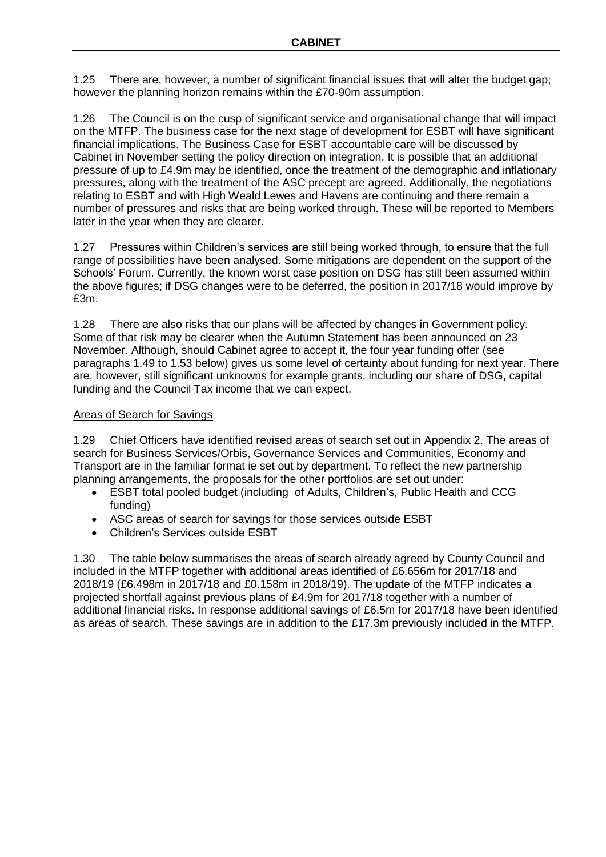1.25 There are, however, a number of significant financial issues that will alter the budget gap; however the planning horizon remains within the £70-90m assumption.

1.26 The Council is on the cusp of significant service and organisational change that will impact on the MTFP. The business case for the next stage of development for ESBT will have significant financial implications. The Business Case for ESBT accountable care will be discussed by Cabinet in November setting the policy direction on integration. It is possible that an additional pressure of up to £4.9m may be identified, once the treatment of the demographic and inflationary pressures, along with the treatment of the ASC precept are agreed. Additionally, the negotiations relating to ESBT and with High Weald Lewes and Havens are continuing and there remain a number of pressures and risks that are being worked through. These will be reported to Members later in the year when they are clearer.

1.27 Pressures within Children's services are still being worked through, to ensure that the full range of possibilities have been analysed. Some mitigations are dependent on the support of the Schools' Forum. Currently, the known worst case position on DSG has still been assumed within the above figures; if DSG changes were to be deferred, the position in 2017/18 would improve by £3m.

1.28 There are also risks that our plans will be affected by changes in Government policy. Some of that risk may be clearer when the Autumn Statement has been announced on 23 November. Although, should Cabinet agree to accept it, the four year funding offer (see paragraphs 1.49 to 1.53 below) gives us some level of certainty about funding for next year. There are, however, still significant unknowns for example grants, including our share of DSG, capital funding and the Council Tax income that we can expect.

# Areas of Search for Savings

1.29 Chief Officers have identified revised areas of search set out in Appendix 2. The areas of search for Business Services/Orbis, Governance Services and Communities, Economy and Transport are in the familiar format ie set out by department. To reflect the new partnership planning arrangements, the proposals for the other portfolios are set out under:

- ESBT total pooled budget (including of Adults, Children's, Public Health and CCG funding)
- ASC areas of search for savings for those services outside ESBT
- Children's Services outside ESBT

1.30 The table below summarises the areas of search already agreed by County Council and included in the MTFP together with additional areas identified of £6.656m for 2017/18 and 2018/19 (£6.498m in 2017/18 and £0.158m in 2018/19). The update of the MTFP indicates a projected shortfall against previous plans of £4.9m for 2017/18 together with a number of additional financial risks. In response additional savings of £6.5m for 2017/18 have been identified as areas of search. These savings are in addition to the £17.3m previously included in the MTFP.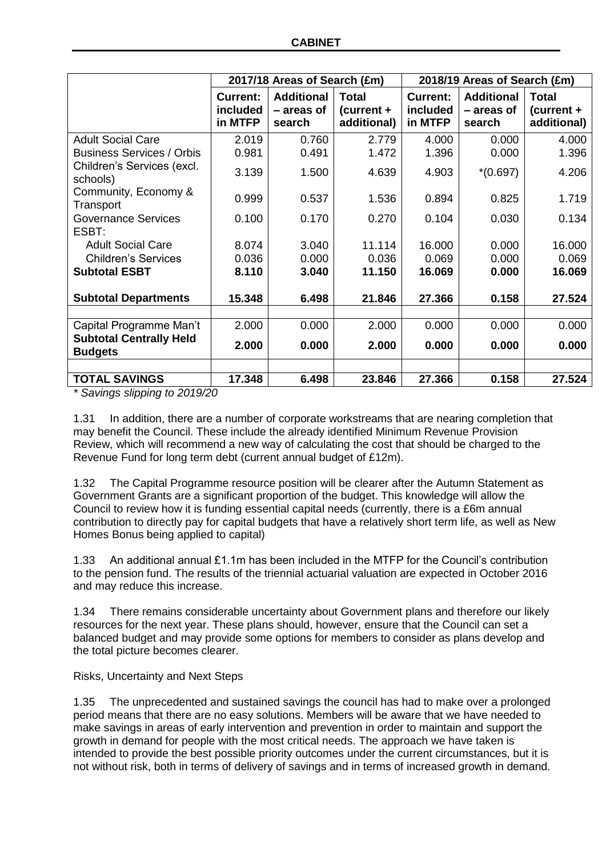|                                                  | 2017/18 Areas of Search (£m)           |                                           | 2018/19 Areas of Search (£m)                |                                        |                                           |                                           |
|--------------------------------------------------|----------------------------------------|-------------------------------------------|---------------------------------------------|----------------------------------------|-------------------------------------------|-------------------------------------------|
|                                                  | <b>Current:</b><br>included<br>in MTFP | <b>Additional</b><br>- areas of<br>search | <b>Total</b><br>$(current +$<br>additional) | <b>Current:</b><br>included<br>in MTFP | <b>Additional</b><br>- areas of<br>search | <b>Total</b><br>(current +<br>additional) |
| <b>Adult Social Care</b>                         | 2.019                                  | 0.760                                     | 2.779                                       | 4.000                                  | 0.000                                     | 4.000                                     |
| <b>Business Services / Orbis</b>                 | 0.981                                  | 0.491                                     | 1.472                                       | 1.396                                  | 0.000                                     | 1.396                                     |
| Children's Services (excl.<br>schools)           | 3.139                                  | 1.500                                     | 4.639                                       | 4.903                                  | $*(0.697)$                                | 4.206                                     |
| Community, Economy &<br>Transport                | 0.999                                  | 0.537                                     | 1.536                                       | 0.894                                  | 0.825                                     | 1.719                                     |
| <b>Governance Services</b>                       | 0.100                                  | 0.170                                     | 0.270                                       | 0.104                                  | 0.030                                     | 0.134                                     |
| ESBT:                                            |                                        |                                           |                                             |                                        |                                           |                                           |
| <b>Adult Social Care</b>                         | 8.074                                  | 3.040                                     | 11.114                                      | 16.000                                 | 0.000                                     | 16.000                                    |
| <b>Children's Services</b>                       | 0.036                                  | 0.000                                     | 0.036                                       | 0.069                                  | 0.000                                     | 0.069                                     |
| <b>Subtotal ESBT</b>                             | 8.110                                  | 3.040                                     | 11.150                                      | 16.069                                 | 0.000                                     | 16.069                                    |
| <b>Subtotal Departments</b>                      | 15.348                                 | 6.498                                     | 21.846                                      | 27.366                                 | 0.158                                     | 27.524                                    |
|                                                  |                                        |                                           |                                             |                                        |                                           |                                           |
| Capital Programme Man't                          | 2.000                                  | 0.000                                     | 2.000                                       | 0.000                                  | 0.000                                     | 0.000                                     |
| <b>Subtotal Centrally Held</b><br><b>Budgets</b> | 2.000                                  | 0.000                                     | 2.000                                       | 0.000                                  | 0.000                                     | 0.000                                     |
|                                                  |                                        |                                           |                                             |                                        |                                           |                                           |
| <b>TOTAL SAVINGS</b>                             | 17.348                                 | 6.498                                     | 23.846                                      | 27.366                                 | 0.158                                     | 27.524                                    |

*\* Savings slipping to 2019/20*

1.31 In addition, there are a number of corporate workstreams that are nearing completion that may benefit the Council. These include the already identified Minimum Revenue Provision Review, which will recommend a new way of calculating the cost that should be charged to the Revenue Fund for long term debt (current annual budget of £12m).

1.32 The Capital Programme resource position will be clearer after the Autumn Statement as Government Grants are a significant proportion of the budget. This knowledge will allow the Council to review how it is funding essential capital needs (currently, there is a £6m annual contribution to directly pay for capital budgets that have a relatively short term life, as well as New Homes Bonus being applied to capital)

1.33 An additional annual £1.1m has been included in the MTFP for the Council's contribution to the pension fund. The results of the triennial actuarial valuation are expected in October 2016 and may reduce this increase.

1.34 There remains considerable uncertainty about Government plans and therefore our likely resources for the next year. These plans should, however, ensure that the Council can set a balanced budget and may provide some options for members to consider as plans develop and the total picture becomes clearer.

Risks, Uncertainty and Next Steps

1.35 The unprecedented and sustained savings the council has had to make over a prolonged period means that there are no easy solutions. Members will be aware that we have needed to make savings in areas of early intervention and prevention in order to maintain and support the growth in demand for people with the most critical needs. The approach we have taken is intended to provide the best possible priority outcomes under the current circumstances, but it is not without risk, both in terms of delivery of savings and in terms of increased growth in demand.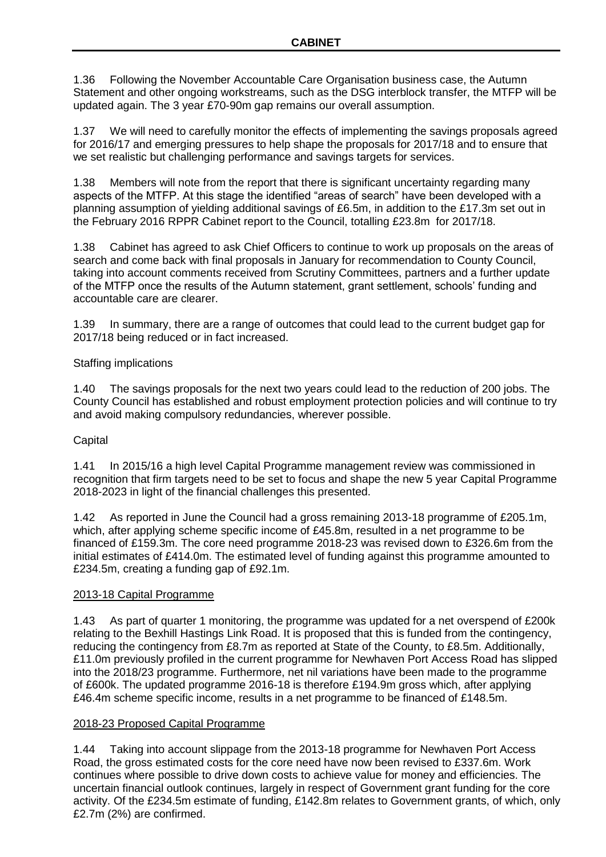1.36 Following the November Accountable Care Organisation business case, the Autumn Statement and other ongoing workstreams, such as the DSG interblock transfer, the MTFP will be updated again. The 3 year £70-90m gap remains our overall assumption.

1.37 We will need to carefully monitor the effects of implementing the savings proposals agreed for 2016/17 and emerging pressures to help shape the proposals for 2017/18 and to ensure that we set realistic but challenging performance and savings targets for services.

1.38 Members will note from the report that there is significant uncertainty regarding many aspects of the MTFP. At this stage the identified "areas of search" have been developed with a planning assumption of yielding additional savings of £6.5m, in addition to the £17.3m set out in the February 2016 RPPR Cabinet report to the Council, totalling £23.8m for 2017/18.

1.38 Cabinet has agreed to ask Chief Officers to continue to work up proposals on the areas of search and come back with final proposals in January for recommendation to County Council, taking into account comments received from Scrutiny Committees, partners and a further update of the MTFP once the results of the Autumn statement, grant settlement, schools' funding and accountable care are clearer.

1.39 In summary, there are a range of outcomes that could lead to the current budget gap for 2017/18 being reduced or in fact increased.

# Staffing implications

1.40 The savings proposals for the next two years could lead to the reduction of 200 jobs. The County Council has established and robust employment protection policies and will continue to try and avoid making compulsory redundancies, wherever possible.

# **Capital**

1.41 In 2015/16 a high level Capital Programme management review was commissioned in recognition that firm targets need to be set to focus and shape the new 5 year Capital Programme 2018-2023 in light of the financial challenges this presented.

1.42 As reported in June the Council had a gross remaining 2013-18 programme of £205.1m, which, after applying scheme specific income of £45.8m, resulted in a net programme to be financed of £159.3m. The core need programme 2018-23 was revised down to £326.6m from the initial estimates of £414.0m. The estimated level of funding against this programme amounted to £234.5m, creating a funding gap of £92.1m.

## 2013-18 Capital Programme

1.43 As part of quarter 1 monitoring, the programme was updated for a net overspend of £200k relating to the Bexhill Hastings Link Road. It is proposed that this is funded from the contingency, reducing the contingency from £8.7m as reported at State of the County, to £8.5m. Additionally, £11.0m previously profiled in the current programme for Newhaven Port Access Road has slipped into the 2018/23 programme. Furthermore, net nil variations have been made to the programme of £600k. The updated programme 2016-18 is therefore £194.9m gross which, after applying £46.4m scheme specific income, results in a net programme to be financed of £148.5m.

## 2018-23 Proposed Capital Programme

1.44 Taking into account slippage from the 2013-18 programme for Newhaven Port Access Road, the gross estimated costs for the core need have now been revised to £337.6m. Work continues where possible to drive down costs to achieve value for money and efficiencies. The uncertain financial outlook continues, largely in respect of Government grant funding for the core activity. Of the £234.5m estimate of funding, £142.8m relates to Government grants, of which, only £2.7m (2%) are confirmed.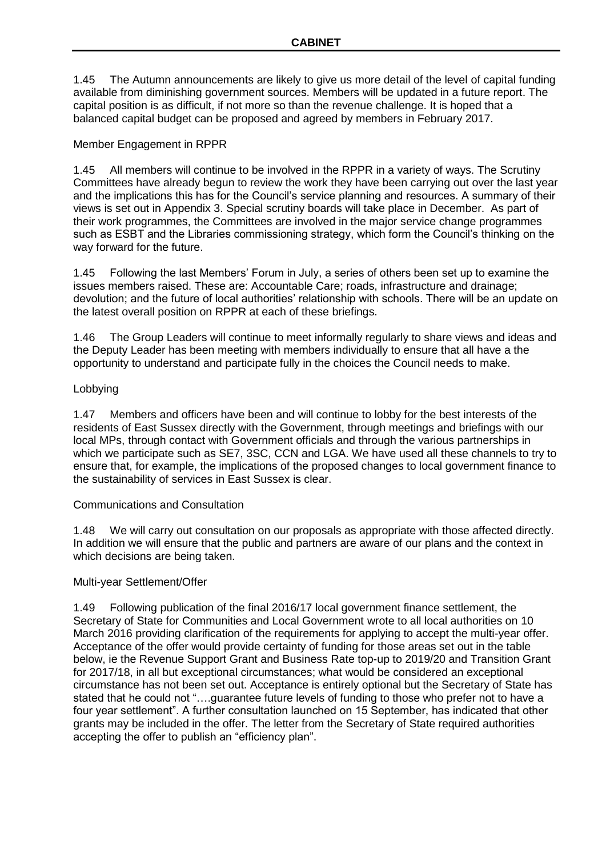1.45 The Autumn announcements are likely to give us more detail of the level of capital funding available from diminishing government sources. Members will be updated in a future report. The capital position is as difficult, if not more so than the revenue challenge. It is hoped that a balanced capital budget can be proposed and agreed by members in February 2017.

# Member Engagement in RPPR

1.45 All members will continue to be involved in the RPPR in a variety of ways. The Scrutiny Committees have already begun to review the work they have been carrying out over the last year and the implications this has for the Council's service planning and resources. A summary of their views is set out in Appendix 3. Special scrutiny boards will take place in December. As part of their work programmes, the Committees are involved in the major service change programmes such as ESBT and the Libraries commissioning strategy, which form the Council's thinking on the way forward for the future.

1.45 Following the last Members' Forum in July, a series of others been set up to examine the issues members raised. These are: Accountable Care; roads, infrastructure and drainage; devolution; and the future of local authorities' relationship with schools. There will be an update on the latest overall position on RPPR at each of these briefings.

1.46 The Group Leaders will continue to meet informally regularly to share views and ideas and the Deputy Leader has been meeting with members individually to ensure that all have a the opportunity to understand and participate fully in the choices the Council needs to make.

## Lobbying

1.47 Members and officers have been and will continue to lobby for the best interests of the residents of East Sussex directly with the Government, through meetings and briefings with our local MPs, through contact with Government officials and through the various partnerships in which we participate such as SE7, 3SC, CCN and LGA. We have used all these channels to try to ensure that, for example, the implications of the proposed changes to local government finance to the sustainability of services in East Sussex is clear.

## Communications and Consultation

1.48 We will carry out consultation on our proposals as appropriate with those affected directly. In addition we will ensure that the public and partners are aware of our plans and the context in which decisions are being taken.

## Multi-year Settlement/Offer

1.49 Following publication of the final 2016/17 local government finance settlement, the Secretary of State for Communities and Local Government wrote to all local authorities on 10 March 2016 providing clarification of the requirements for applying to accept the multi-year offer. Acceptance of the offer would provide certainty of funding for those areas set out in the table below, ie the Revenue Support Grant and Business Rate top-up to 2019/20 and Transition Grant for 2017/18, in all but exceptional circumstances; what would be considered an exceptional circumstance has not been set out. Acceptance is entirely optional but the Secretary of State has stated that he could not "….guarantee future levels of funding to those who prefer not to have a four year settlement". A further consultation launched on 15 September, has indicated that other grants may be included in the offer. The letter from the Secretary of State required authorities accepting the offer to publish an "efficiency plan".